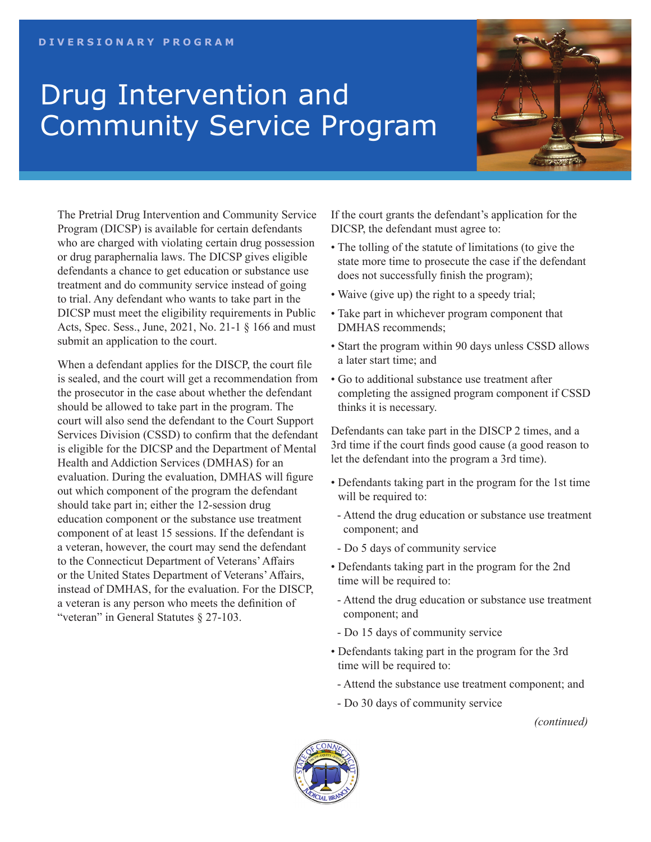## Drug Intervention and Community Service Program



The Pretrial Drug Intervention and Community Service Program (DICSP) is available for certain defendants who are charged with violating certain drug possession or drug paraphernalia laws. The DICSP gives eligible defendants a chance to get education or substance use treatment and do community service instead of going to trial. Any defendant who wants to take part in the DICSP must meet the eligibility requirements in Public Acts, Spec. Sess., June, 2021, No. 21-1 § 166 and must submit an application to the court.

When a defendant applies for the DISCP, the court file is sealed, and the court will get a recommendation from the prosecutor in the case about whether the defendant should be allowed to take part in the program. The court will also send the defendant to the Court Support Services Division (CSSD) to confirm that the defendant is eligible for the DICSP and the Department of Mental Health and Addiction Services (DMHAS) for an evaluation. During the evaluation, DMHAS will figure out which component of the program the defendant should take part in; either the 12-session drug education component or the substance use treatment component of at least 15 sessions. If the defendant is a veteran, however, the court may send the defendant to the Connecticut Department of Veterans' Affairs or the United States Department of Veterans' Affairs, instead of DMHAS, for the evaluation. For the DISCP, a veteran is any person who meets the definition of "veteran" in General Statutes § 27-103.

If the court grants the defendant's application for the DICSP, the defendant must agree to:

- The tolling of the statute of limitations (to give the state more time to prosecute the case if the defendant does not successfully finish the program);
- Waive (give up) the right to a speedy trial;
- Take part in whichever program component that DMHAS recommends;
- Start the program within 90 days unless CSSD allows a later start time; and
- Go to additional substance use treatment after completing the assigned program component if CSSD thinks it is necessary.

Defendants can take part in the DISCP 2 times, and a 3rd time if the court finds good cause (a good reason to let the defendant into the program a 3rd time).

- Defendants taking part in the program for the 1st time will be required to:
- Attend the drug education or substance use treatment component; and
- Do 5 days of community service
- Defendants taking part in the program for the 2nd time will be required to:
- Attend the drug education or substance use treatment component; and
- Do 15 days of community service
- Defendants taking part in the program for the 3rd time will be required to:
- Attend the substance use treatment component; and
- Do 30 days of community service

*(continued)*